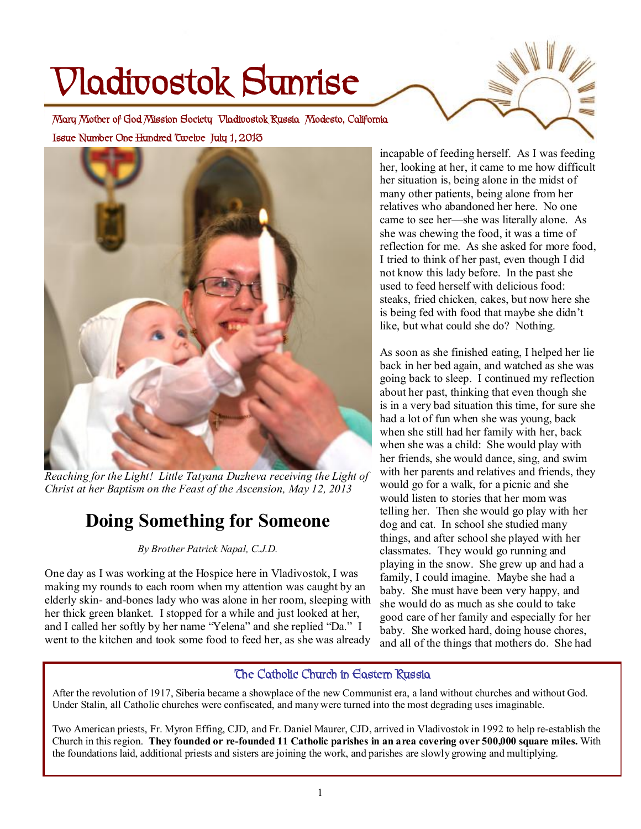# **Vladivostok Sunrise**

**Issue Number One Hundred Twelve July 1, 2013 Mary Mother of God Mission Society Vladivostok Russia Modesto, California** 



*Reaching for the Light! Little Tatyana Duzheva receiving the Light of Christ at her Baptism on the Feast of the Ascension, May 12, 2013* 

# **Doing Something for Someone**

## *By Brother Patrick Napal, C.J.D.*

One day as I was working at the Hospice here in Vladivostok, I was making my rounds to each room when my attention was caught by an elderly skin- and-bones lady who was alone in her room, sleeping with her thick green blanket. I stopped for a while and just looked at her, and I called her softly by her name "Yelena" and she replied "Da." I went to the kitchen and took some food to feed her, as she was already

incapable of feeding herself. As I was feeding her, looking at her, it came to me how difficult her situation is, being alone in the midst of many other patients, being alone from her relatives who abandoned her here. No one came to see her—she was literally alone. As she was chewing the food, it was a time of reflection for me. As she asked for more food, I tried to think of her past, even though I did not know this lady before. In the past she used to feed herself with delicious food: steaks, fried chicken, cakes, but now here she is being fed with food that maybe she didn't like, but what could she do? Nothing.

As soon as she finished eating, I helped her lie back in her bed again, and watched as she was going back to sleep. I continued my reflection about her past, thinking that even though she is in a very bad situation this time, for sure she had a lot of fun when she was young, back when she still had her family with her, back when she was a child: She would play with her friends, she would dance, sing, and swim with her parents and relatives and friends, they would go for a walk, for a picnic and she would listen to stories that her mom was telling her. Then she would go play with her dog and cat. In school she studied many things, and after school she played with her classmates. They would go running and playing in the snow. She grew up and had a family, I could imagine. Maybe she had a baby. She must have been very happy, and she would do as much as she could to take good care of her family and especially for her baby. She worked hard, doing house chores, and all of the things that mothers do. She had

## **The Catholic Church in Eastern Russia**

After the revolution of 1917, Siberia became a showplace of the new Communist era, a land without churches and without God. Under Stalin, all Catholic churches were confiscated, and many were turned into the most degrading uses imaginable.

Two American priests, Fr. Myron Effing, CJD, and Fr. Daniel Maurer, CJD, arrived in Vladivostok in 1992 to help re-establish the Church in this region. They founded or re-founded 11 Catholic parishes in an area covering over 500,000 square miles. With the foundations laid, additional priests and sisters are joining the work, and parishes are slowly growing and multiplying.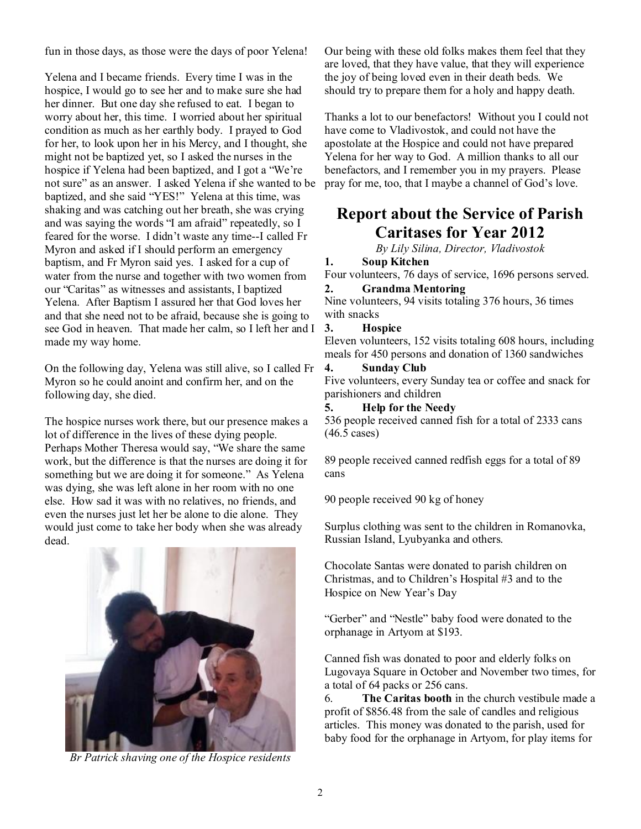fun in those days, as those were the days of poor Yelena!

Yelena and I became friends. Every time I was in the hospice, I would go to see her and to make sure she had her dinner. But one day she refused to eat. I began to worry about her, this time. I worried about her spiritual condition as much as her earthly body. I prayed to God for her, to look upon her in his Mercy, and I thought, she might not be baptized yet, so I asked the nurses in the hospice if Yelena had been baptized, and I got a "We're not sure" as an answer. I asked Yelena if she wanted to be baptized, and she said "YES!" Yelena at this time, was shaking and was catching out her breath, she was crying and was saying the words "I am afraid" repeatedly, so I feared for the worse. I didn't waste any time--I called Fr Myron and asked if I should perform an emergency baptism, and Fr Myron said yes. I asked for a cup of water from the nurse and together with two women from our "Caritas" as witnesses and assistants, I baptized Yelena. After Baptism I assured her that God loves her and that she need not to be afraid, because she is going to see God in heaven. That made her calm, so I left her and I made my way home.

On the following day, Yelena was still alive, so I called Fr Myron so he could anoint and confirm her, and on the following day, she died.

The hospice nurses work there, but our presence makes a lot of difference in the lives of these dying people. Perhaps Mother Theresa would say, "We share the same work, but the difference is that the nurses are doing it for something but we are doing it for someone." As Yelena was dying, she was left alone in her room with no one else. How sad it was with no relatives, no friends, and even the nurses just let her be alone to die alone. They would just come to take her body when she was already dead.



*Br Patrick shaving one of the Hospice residents* 

Our being with these old folks makes them feel that they are loved, that they have value, that they will experience the joy of being loved even in their death beds. We should try to prepare them for a holy and happy death.

Thanks a lot to our benefactors! Without you I could not have come to Vladivostok, and could not have the apostolate at the Hospice and could not have prepared Yelena for her way to God. A million thanks to all our benefactors, and I remember you in my prayers. Please pray for me, too, that I maybe a channel of God's love.

## **Report about the Service of Parish Caritases for Year 2012**

*By Lily Silina, Director, Vladivostok* 

## **1. Soup Kitchen**

Four volunteers, 76 days of service, 1696 persons served. **2. Grandma Mentoring** 

Nine volunteers, 94 visits totaling 376 hours, 36 times with snacks

#### **3. Hospice**

Eleven volunteers, 152 visits totaling 608 hours, including meals for 450 persons and donation of 1360 sandwiches

#### **4. Sunday Club**

Five volunteers, every Sunday tea or coffee and snack for parishioners and children

#### **5. Help for the Needy**

536 people received canned fish for a total of 2333 cans (46.5 cases)

89 people received canned redfish eggs for a total of 89 cans

90 people received 90 kg of honey

Surplus clothing was sent to the children in Romanovka, Russian Island, Lyubyanka and others.

Chocolate Santas were donated to parish children on Christmas, and to Children's Hospital #3 and to the Hospice on New Year's Day

"Gerber" and "Nestle" baby food were donated to the orphanage in Artyom at \$193.

Canned fish was donated to poor and elderly folks on Lugovaya Square in October and November two times, for a total of 64 packs or 256 cans.

6. **The Caritas booth** in the church vestibule made a profit of \$856.48 from the sale of candles and religious articles. This money was donated to the parish, used for baby food for the orphanage in Artyom, for play items for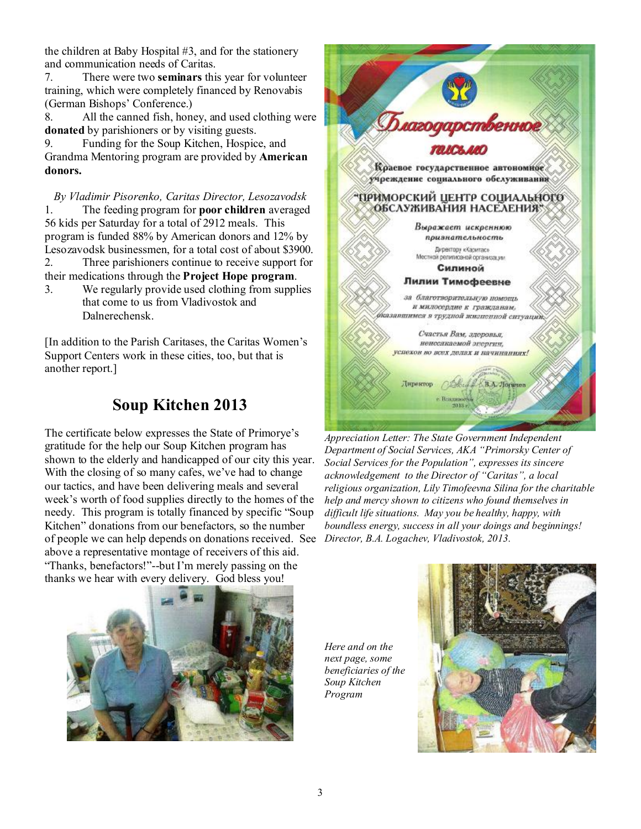the children at Baby Hospital #3, and for the stationery and communication needs of Caritas.

7. There were two **seminars** this year for volunteer training, which were completely financed by Renovabis (German Bishops' Conference.)

8. All the canned fish, honey, and used clothing were **donated** by parishioners or by visiting guests.

9. Funding for the Soup Kitchen, Hospice, and Grandma Mentoring program are provided by **American donors.**

*By Vladimir Pisorenko, Caritas Director, Lesozavodsk*  1. The feeding program for **poor children** averaged 56 kids per Saturday for a total of 2912 meals. This program is funded 88% by American donors and 12% by Lesozavodsk businessmen, for a total cost of about \$3900. 2. Three parishioners continue to receive support for their medications through the **Project Hope program**.

3. We regularly provide used clothing from supplies that come to us from Vladivostok and Dalnerechensk.

[In addition to the Parish Caritases, the Caritas Women's Support Centers work in these cities, too, but that is another report.]

# **Soup Kitchen 2013**

The certificate below expresses the State of Primorye's gratitude for the help our Soup Kitchen program has shown to the elderly and handicapped of our city this year. With the closing of so many cafes, we've had to change our tactics, and have been delivering meals and several week's worth of food supplies directly to the homes of the needy. This program is totally financed by specific "Soup Kitchen" donations from our benefactors, so the number of people we can help depends on donations received. See above a representative montage of receivers of this aid. "Thanks, benefactors!"--but I'm merely passing on the thanks we hear with every delivery. God bless you!



*Appreciation Letter: The State Government Independent Department of Social Services, AKA "Primorsky Center of Social Services for the Population", expresses its sincere acknowledgement to the Director of "Caritas", a local religious organization, Lily Timofeevna Silina for the charitable help and mercy shown to citizens who found themselves in difficult life situations. May you be healthy, happy, with boundless energy, success in all your doings and beginnings! Director, B.A. Logachev, Vladivostok, 2013.* 



*Here and on the next page, some beneficiaries of the Soup Kitchen Program*

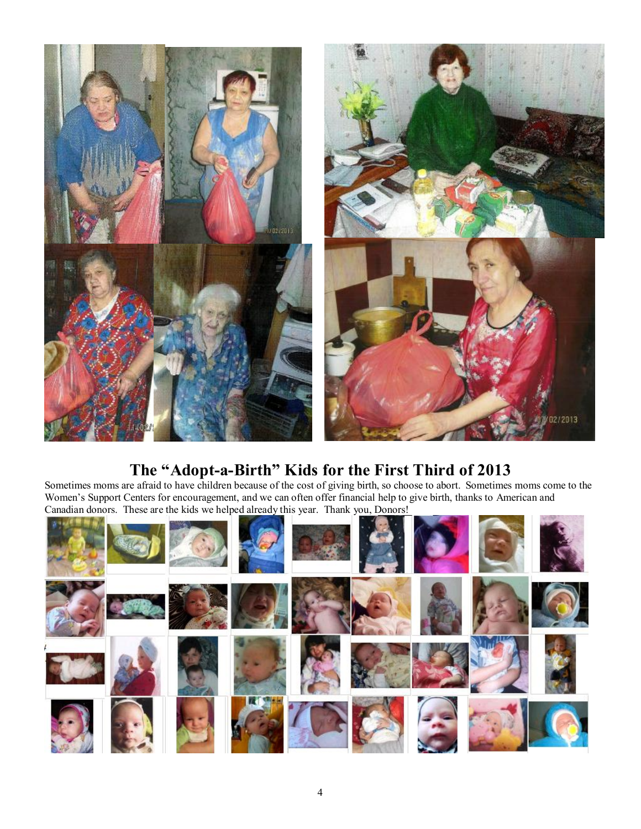

## **The "Adopt-a-Birth" Kids for the First Third of 2013**

Sometimes moms are afraid to have children because of the cost of giving birth, so choose to abort. Sometimes moms come to the Women's Support Centers for encouragement, and we can often offer financial help to give birth, thanks to American and Canadian donors. These are the kids we helped already this year. Thank you, Donors!

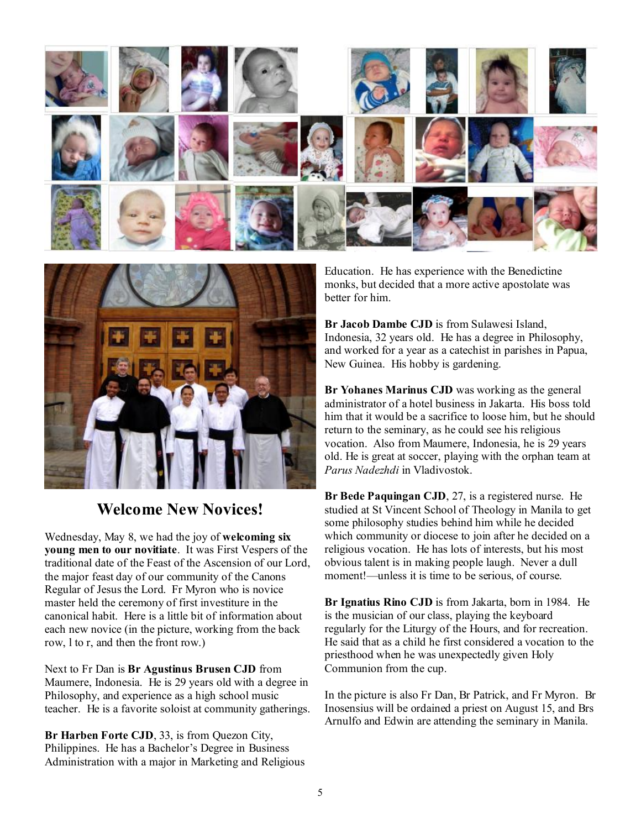



## **Welcome New Novices!**

Wednesday, May 8, we had the joy of **welcoming six young men to our novitiate**. It was First Vespers of the traditional date of the Feast of the Ascension of our Lord, the major feast day of our community of the Canons Regular of Jesus the Lord. Fr Myron who is novice master held the ceremony of first investiture in the canonical habit. Here is a little bit of information about each new novice (in the picture, working from the back row, l to r, and then the front row.)

Next to Fr Dan is **Br Agustinus Brusen CJD** from Maumere, Indonesia. He is 29 years old with a degree in Philosophy, and experience as a high school music teacher. He is a favorite soloist at community gatherings.

**Br Harben Forte CJD**, 33, is from Quezon City, Philippines. He has a Bachelor's Degree in Business Administration with a major in Marketing and Religious Education. He has experience with the Benedictine monks, but decided that a more active apostolate was better for him.

**Br Jacob Dambe CJD** is from Sulawesi Island, Indonesia, 32 years old. He has a degree in Philosophy, and worked for a year as a catechist in parishes in Papua, New Guinea. His hobby is gardening.

**Br Yohanes Marinus CJD** was working as the general administrator of a hotel business in Jakarta. His boss told him that it would be a sacrifice to loose him, but he should return to the seminary, as he could see his religious vocation. Also from Maumere, Indonesia, he is 29 years old. He is great at soccer, playing with the orphan team at *Parus Nadezhdi* in Vladivostok.

**Br Bede Paquingan CJD**, 27, is a registered nurse. He studied at St Vincent School of Theology in Manila to get some philosophy studies behind him while he decided which community or diocese to join after he decided on a religious vocation. He has lots of interests, but his most obvious talent is in making people laugh. Never a dull moment!—unless it is time to be serious, of course.

**Br Ignatius Rino CJD** is from Jakarta, born in 1984. He is the musician of our class, playing the keyboard regularly for the Liturgy of the Hours, and for recreation. He said that as a child he first considered a vocation to the priesthood when he was unexpectedly given Holy Communion from the cup.

In the picture is also Fr Dan, Br Patrick, and Fr Myron. Br Inosensius will be ordained a priest on August 15, and Brs Arnulfo and Edwin are attending the seminary in Manila.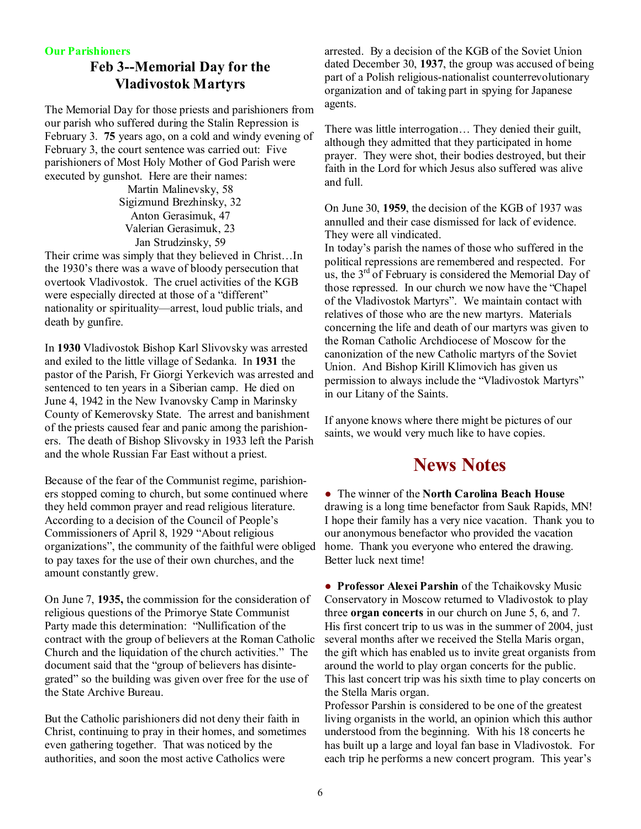#### **Our Parishioners**

## **Feb 3--Memorial Day for the Vladivostok Martyrs**

The Memorial Day for those priests and parishioners from our parish who suffered during the Stalin Repression is February 3. **75** years ago, on a cold and windy evening of February 3, the court sentence was carried out: Five parishioners of Most Holy Mother of God Parish were executed by gunshot. Here are their names:

Martin Malinevsky, 58 Sigizmund Brezhinsky, 32 Anton Gerasimuk, 47 Valerian Gerasimuk, 23 Jan Strudzinsky, 59

Their crime was simply that they believed in Christ…In the 1930's there was a wave of bloody persecution that overtook Vladivostok. The cruel activities of the KGB were especially directed at those of a "different" nationality or spirituality—arrest, loud public trials, and death by gunfire.

In **1930** Vladivostok Bishop Karl Slivovsky was arrested and exiled to the little village of Sedanka. In **1931** the pastor of the Parish, Fr Giorgi Yerkevich was arrested and sentenced to ten years in a Siberian camp. He died on June 4, 1942 in the New Ivanovsky Camp in Marinsky County of Kemerovsky State. The arrest and banishment of the priests caused fear and panic among the parishioners. The death of Bishop Slivovsky in 1933 left the Parish and the whole Russian Far East without a priest.

Because of the fear of the Communist regime, parishioners stopped coming to church, but some continued where they held common prayer and read religious literature. According to a decision of the Council of People's Commissioners of April 8, 1929 "About religious organizations", the community of the faithful were obliged to pay taxes for the use of their own churches, and the amount constantly grew.

On June 7, **1935,** the commission for the consideration of religious questions of the Primorye State Communist Party made this determination: "Nullification of the contract with the group of believers at the Roman Catholic Church and the liquidation of the church activities." The document said that the "group of believers has disintegrated" so the building was given over free for the use of the State Archive Bureau.

But the Catholic parishioners did not deny their faith in Christ, continuing to pray in their homes, and sometimes even gathering together. That was noticed by the authorities, and soon the most active Catholics were

arrested. By a decision of the KGB of the Soviet Union dated December 30, **1937**, the group was accused of being part of a Polish religious-nationalist counterrevolutionary organization and of taking part in spying for Japanese agents.

There was little interrogation… They denied their guilt, although they admitted that they participated in home prayer. They were shot, their bodies destroyed, but their faith in the Lord for which Jesus also suffered was alive and full.

On June 30, **1959**, the decision of the KGB of 1937 was annulled and their case dismissed for lack of evidence. They were all vindicated.

In today's parish the names of those who suffered in the political repressions are remembered and respected. For us, the  $3<sup>rd</sup>$  of February is considered the Memorial Day of those repressed. In our church we now have the "Chapel of the Vladivostok Martyrs". We maintain contact with relatives of those who are the new martyrs. Materials concerning the life and death of our martyrs was given to the Roman Catholic Archdiocese of Moscow for the canonization of the new Catholic martyrs of the Soviet Union. And Bishop Kirill Klimovich has given us permission to always include the "Vladivostok Martyrs" in our Litany of the Saints.

If anyone knows where there might be pictures of our saints, we would very much like to have copies.

# **News Notes**

● The winner of the **North Carolina Beach House** drawing is a long time benefactor from Sauk Rapids, MN! I hope their family has a very nice vacation. Thank you to our anonymous benefactor who provided the vacation home. Thank you everyone who entered the drawing. Better luck next time!

● **Professor Alexei Parshin** of the Tchaikovsky Music Conservatory in Moscow returned to Vladivostok to play three **organ concerts** in our church on June 5, 6, and 7. His first concert trip to us was in the summer of 2004, just several months after we received the Stella Maris organ, the gift which has enabled us to invite great organists from around the world to play organ concerts for the public. This last concert trip was his sixth time to play concerts on the Stella Maris organ.

Professor Parshin is considered to be one of the greatest living organists in the world, an opinion which this author understood from the beginning. With his 18 concerts he has built up a large and loyal fan base in Vladivostok. For each trip he performs a new concert program. This year's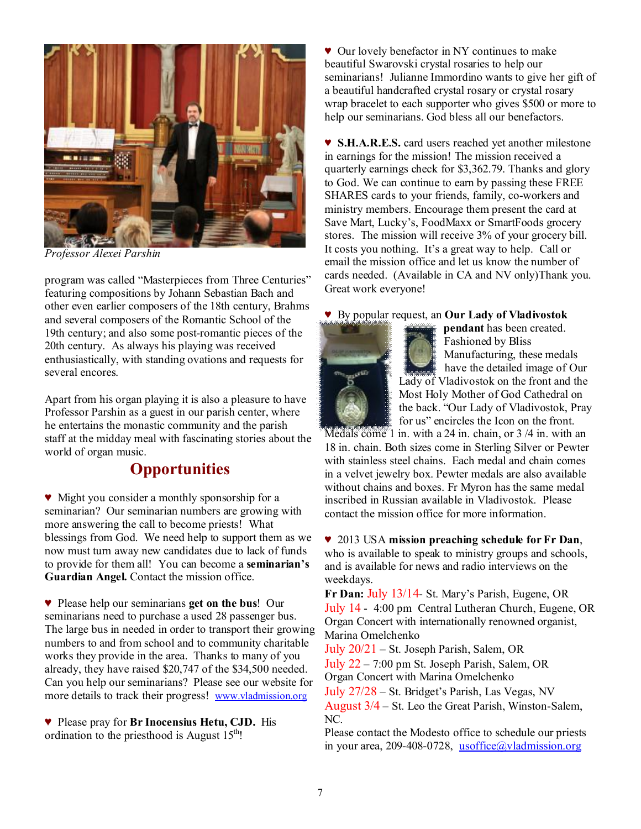

*Professor Alexei Parshin* 

program was called "Masterpieces from Three Centuries" featuring compositions by Johann Sebastian Bach and other even earlier composers of the 18th century, Brahms and several composers of the Romantic School of the 19th century; and also some post-romantic pieces of the 20th century. As always his playing was received enthusiastically, with standing ovations and requests for several encores.

Apart from his organ playing it is also a pleasure to have Professor Parshin as a guest in our parish center, where he entertains the monastic community and the parish staff at the midday meal with fascinating stories about the world of organ music.

## **Opportunities**

♥ Might you consider a monthly sponsorship for a seminarian? Our seminarian numbers are growing with more answering the call to become priests! What blessings from God. We need help to support them as we now must turn away new candidates due to lack of funds to provide for them all! You can become a **seminarian's Guardian Angel.** Contact the mission office.

♥ Please help our seminarians **get on the bus**! Our seminarians need to purchase a used 28 passenger bus. The large bus in needed in order to transport their growing numbers to and from school and to community charitable works they provide in the area. Thanks to many of you already, they have raised \$20,747 of the \$34,500 needed. Can you help our seminarians? Please see our website for more details to track their progress! [www.vladmission.org](http://www.vladmission.org)

♥ Please pray for **Br Inocensius Hetu, CJD.** His ordination to the priesthood is August  $15<sup>th</sup>$ !

♥ Our lovely benefactor in NY continues to make beautiful Swarovski crystal rosaries to help our seminarians! Julianne Immordino wants to give her gift of a beautiful handcrafted crystal rosary or crystal rosary wrap bracelet to each supporter who gives \$500 or more to help our seminarians. God bless all our benefactors.

♥ **S.H.A.R.E.S.** card users reached yet another milestone in earnings for the mission! The mission received a quarterly earnings check for \$3,362.79. Thanks and glory to God. We can continue to earn by passing these FREE SHARES cards to your friends, family, co-workers and ministry members. Encourage them present the card at Save Mart, Lucky's, FoodMaxx or SmartFoods grocery stores. The mission will receive 3% of your grocery bill. It costs you nothing. It's a great way to help. Call or email the mission office and let us know the number of cards needed. (Available in CA and NV only)Thank you. Great work everyone!

♥ By popular request, an **Our Lady of Vladivostok** 



**pendant** has been created. Fashioned by Bliss Manufacturing, these medals have the detailed image of Our Lady of Vladivostok on the front and the Most Holy Mother of God Cathedral on the back. "Our Lady of Vladivostok, Pray for us" encircles the Icon on the front.

Medals come 1 in. with a 24 in. chain, or 3 /4 in. with an 18 in. chain. Both sizes come in Sterling Silver or Pewter with stainless steel chains. Each medal and chain comes in a velvet jewelry box. Pewter medals are also available without chains and boxes. Fr Myron has the same medal inscribed in Russian available in Vladivostok. Please contact the mission office for more information.

♥ 2013 USA **mission preaching schedule for Fr Dan**, who is available to speak to ministry groups and schools, and is available for news and radio interviews on the weekdays.

**Fr Dan:** July 13/14- St. Mary's Parish, Eugene, OR July 14 - 4:00 pm Central Lutheran Church, Eugene, OR Organ Concert with internationally renowned organist, Marina Omelchenko

July 20/21 – St. Joseph Parish, Salem, OR

July 22 – 7:00 pm St. Joseph Parish, Salem, OR Organ Concert with Marina Omelchenko

July 27/28 – St. Bridget's Parish, Las Vegas, NV August 3/4 – St. Leo the Great Parish, Winston-Salem, NC.

Please contact the Modesto office to schedule our priests in your area, 209-408-0728, [usoffice@vladmission.org](mailto:usoffice@vladmission.org)